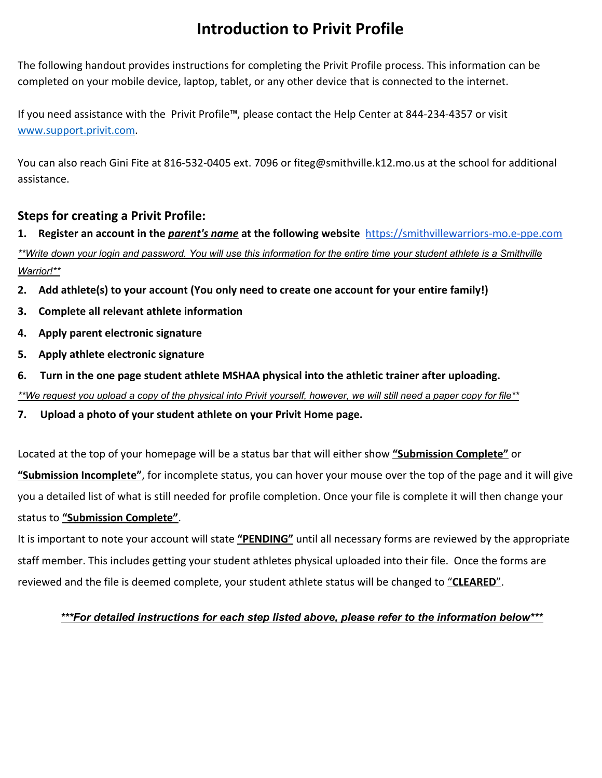# **Introduction to Privit Profile**

The following handout provides instructions for completing the Privit Profile process. This information can be completed on your mobile device, laptop, tablet, or any other device that is connected to the internet.

If you need assistance with the Privit Profile™, please contact the Help Center at 844-234-4357 or visit [www.support.privit.com](http://www.support.privit.com/).

You can also reach Gini Fite at 816-532-0405 ext. 7096 or fiteg@smithville.k12.mo.us at the school for additional assistance.

# **Steps for creating a Privit Profile:**

**1. Register an account in the** *parent's name* **at the following website**  [https://smithvillewarriors-mo.e-ppe.com](https://smithvillewarriors-mo.e-ppe.com/) \*\*Write down your login and password. You will use this information for the entire time your student athlete is a Smithville *Warrior!\*\**

- **2. Add athlete(s) to your account (You only need to create one account for your entire family!)**
- **3. Complete all relevant athlete information**
- **4. Apply parent electronic signature**
- **5. Apply athlete electronic signature**
- **6. Turn in the one page student athlete MSHAA physical into the athletic trainer after uploading.** \*\*We request you upload a copy of the physical into Privit yourself, however, we will still need a paper copy for file\*\*
- **7. Upload a photo of your student athlete on your Privit Home page.**

Located at the top of your homepage will be a status bar that will either show **"Submission Complete"** or **"Submission Incomplete"**, for incomplete status, you can hover your mouse over the top of the page and it will give you a detailed list of what is still needed for profile completion. Once your file is complete it will then change your status to **"Submission Complete"**.

It is important to note your account will state **"PENDING"** until all necessary forms are reviewed by the appropriate staff member. This includes getting your student athletes physical uploaded into their file. Once the forms are reviewed and the file is deemed complete, your student athlete status will be changed to "**CLEARED**".

## *\*\*\*For detailed instructions for each step listed above, please refer to the information below\*\*\**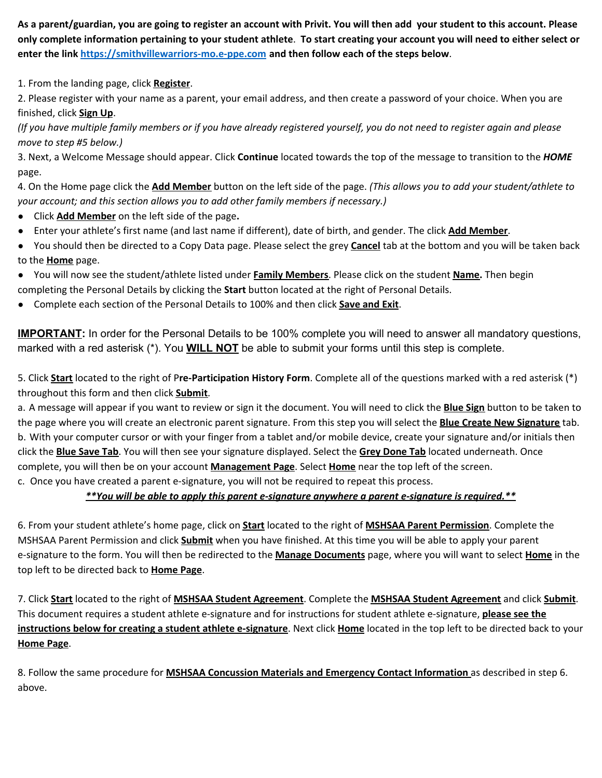As a parent/guardian, you are going to register an account with Privit. You will then add your student to this account. Please only complete information pertaining to your student athlete. To start creating your account you will need to either select or **enter the link [https://smithvillewarriors-mo.e-ppe.com](https://smithvillewarriors-mo.e-ppe.com/) and then follow each of the steps below**.

1. From the landing page, click **Register**.

2. Please register with your name as a parent, your email address, and then create a password of your choice. When you are finished, click **Sign Up**.

(If you have multiple family members or if you have already registered yourself, you do not need to register again and please *move to step #5 below.)*

3. Next, a Welcome Message should appear. Click **Continue** located towards the top of the message to transition to the *HOME* page.

4. On the Home page click the **Add Member** button on the left side of the page. *(This allows you to add your student/athlete to your account; and this section allows you to add other family members if necessary.)*

- Click **Add Member** on the left side of the page**.**
- Enter your athlete's first name (and last name if different), date of birth, and gender. The click **Add Member**.
- You should then be directed to a Copy Data page. Please select the grey **Cancel** tab at the bottom and you will be taken back to the **Home** page.
- You will now see the student/athlete listed under **Family Members**. Please click on the student **Name.** Then begin
- completing the Personal Details by clicking the **Start** button located at the right of Personal Details.
- Complete each section of the Personal Details to 100% and then click **Save and Exit**.

**IMPORTANT:** In order for the Personal Details to be 100% complete you will need to answer all mandatory questions, marked with a red asterisk (\*). You **WILL NOT** be able to submit your forms until this step is complete.

5. Click **Start** located to the right of P**re-Participation History Form**. Complete all of the questions marked with a red asterisk (\*) throughout this form and then click **Submit**.

a. A message will appear if you want to review or sign it the document. You will need to click the **Blue Sign** button to be taken to the page where you will create an electronic parent signature. From this step you will select the **Blue Create New Signature** tab. b. With your computer cursor or with your finger from a tablet and/or mobile device, create your signature and/or initials then click the **Blue Save Tab**. You will then see your signature displayed. Select the **Grey Done Tab** located underneath. Once complete, you will then be on your account **Management Page**. Select **Home** near the top left of the screen. c. Once you have created a parent e-signature, you will not be required to repeat this process.

### *\*\*You will be able to apply this parent e-signature anywhere a parent e-signature is required.\*\**

6. From your student athlete's home page, click on **Start** located to the right of **MSHSAA Parent Permission**. Complete the MSHSAA Parent Permission and click **Submit** when you have finished. At this time you will be able to apply your parent e-signature to the form. You will then be redirected to the **Manage Documents** page, where you will want to select **Home** in the top left to be directed back to **Home Page**.

7. Click **Start** located to the right of **MSHSAA Student Agreement**. Complete the **MSHSAA Student Agreement** and click **Submit**. This document requires a student athlete e-signature and for instructions for student athlete e-signature, **please see the instructions below for creating a student athlete e-signature**. Next click **Home** located in the top left to be directed back to your **Home Page**.

8. Follow the same procedure for **MSHSAA Concussion Materials and Emergency Contact Information** as described in step 6. above.